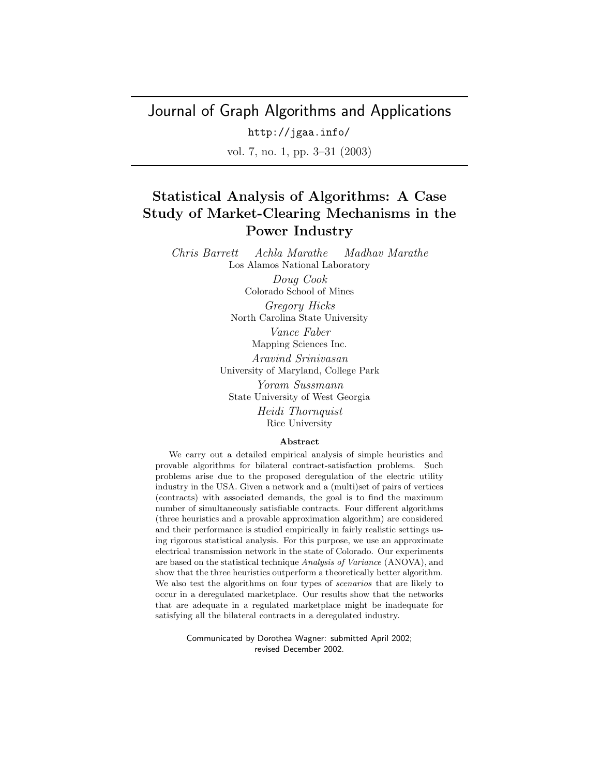# Journal of Graph Algorithms and Applications

 $\mathbf{h}$  is  $\mathbf{h}$  in  $\mathbf{h}$ 

vol. 7, no. 1, pp. 3–31 (2003)

# **Statistical Analysis of Algorithms: A Case Study of Market-Clearing Mechanisms in the Power Industry**

*Chris Barrett Achla Marathe Madhav Marathe* Los Alamos National Laboratory

*Doug Cook* Colorado School of Mines

*Gregory Hicks* North Carolina State University *Vance Faber* Mapping Sciences Inc. *Aravind Srinivasan* University of Maryland, College Park *Yoram Sussmann* State University of West Georgia *Heidi Thornquist* Rice University

#### **Abstract**

We carry out a detailed empirical analysis of simple heuristics and provable algorithms for bilateral contract-satisfaction problems. Such problems arise due to the proposed deregulation of the electric utility industry in the USA. Given a network and a (multi)set of pairs of vertices (contracts) with associated demands, the goal is to find the maximum number of simultaneously satisfiable contracts. Four different algorithms (three heuristics and a provable approximation algorithm) are considered and their performance is studied empirically in fairly realistic settings using rigorous statistical analysis. For this purpose,we use an approximate electrical transmission network in the state of Colorado. Our experiments are based on the statistical technique *Analysis of Variance* (ANOVA), and show that the three heuristics outperform a theoretically better algorithm. We also test the algorithms on four types of *scenarios* that are likely to occur in a deregulated marketplace. Our results show that the networks that are adequate in a regulated marketplace might be inadequate for satisfying all the bilateral contracts in a deregulated industry.

> Communicated by Dorothea Wagner: submitted April 2002; revised December 2002.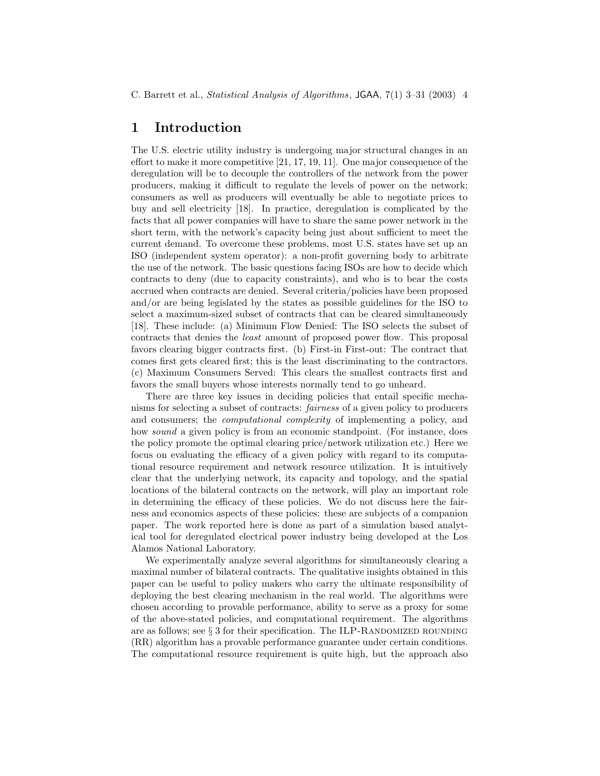## **1 Introduction**

The U.S. electric utility industry is undergoing major structural changes in an effort to make it more competitive [21, 17, 19, 11]. One major consequence of the deregulation will be to decouple the controllers of the network from the power producers, making it difficult to regulate the levels of power on the network; consumers as well as producers will eventually be able to negotiate prices to buy and sell electricity [18]. In practice, deregulation is complicated by the facts that all power companies will have to share the same power network in the short term, with the network's capacity being just about sufficient to meet the current demand. To overcome these problems, most U.S. states have set up an ISO (independent system operator): a non-profit governing body to arbitrate the use of the network. The basic questions facing ISOs are how to decide which contracts to deny (due to capacity constraints), and who is to bear the costs accrued when contracts are denied. Several criteria/policies have been proposed and/or are being legislated by the states as possible guidelines for the ISO to select a maximum-sized subset of contracts that can be cleared simultaneously [18]. These include: (a) Minimum Flow Denied: The ISO selects the subset of contracts that denies the *least* amount of proposed power flow. This proposal favors clearing bigger contracts first. (b) First-in First-out: The contract that comes first gets cleared first; this is the least discriminating to the contractors. (c) Maximum Consumers Served: This clears the smallest contracts first and favors the small buyers whose interests normally tend to go unheard.

There are three key issues in deciding policies that entail specific mechanisms for selecting a subset of contracts: *fairness* of a given policy to producers and consumers; the *computational complexity* of implementing a policy, and how *sound* a given policy is from an economic standpoint. (For instance, does the policy promote the optimal clearing price/network utilization etc.) Here we focus on evaluating the efficacy of a given policy with regard to its computational resource requirement and network resource utilization. It is intuitively clear that the underlying network, its capacity and topology, and the spatial locations of the bilateral contracts on the network, will play an important role in determining the efficacy of these policies. We do not discuss here the fairness and economics aspects of these policies: these are subjects of a companion paper. The work reported here is done as part of a simulation based analytical tool for deregulated electrical power industry being developed at the Los Alamos National Laboratory.

We experimentally analyze several algorithms for simultaneously clearing a maximal number of bilateral contracts. The qualitative insights obtained in this paper can be useful to policy makers who carry the ultimate responsibility of deploying the best clearing mechanism in the real world. The algorithms were chosen according to provable performance, ability to serve as a proxy for some of the above-stated policies, and computational requirement. The algorithms are as follows; see  $\S 3$  for their specification. The ILP-RANDOMIZED ROUNDING (RR) algorithm has a provable performance guarantee under certain conditions. The computational resource requirement is quite high, but the approach also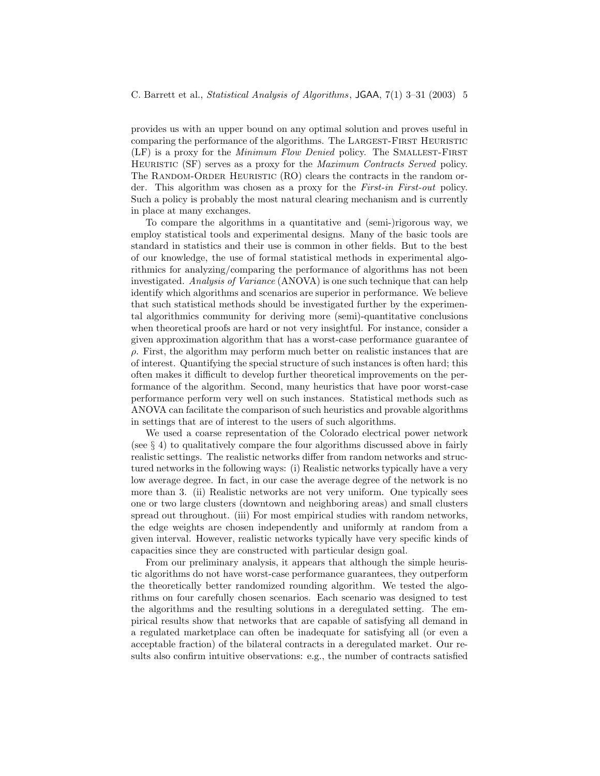provides us with an upper bound on any optimal solution and proves useful in comparing the performance of the algorithms. The LARGEST-FIRST HEURISTIC (LF) is a proxy for the *Minimum Flow Denied* policy. The Smallest-First Heuristic (SF) serves as a proxy for the *Maximum Contracts Served* policy. The RANDOM-ORDER HEURISTIC (RO) clears the contracts in the random order. This algorithm was chosen as a proxy for the *First-in First-out* policy. Such a policy is probably the most natural clearing mechanism and is currently in place at many exchanges.

To compare the algorithms in a quantitative and (semi-)rigorous way, we employ statistical tools and experimental designs. Many of the basic tools are standard in statistics and their use is common in other fields. But to the best of our knowledge, the use of formal statistical methods in experimental algorithmics for analyzing/comparing the performance of algorithms has not been investigated. *Analysis of Variance* (ANOVA) is one such technique that can help identify which algorithms and scenarios are superior in performance. We believe that such statistical methods should be investigated further by the experimental algorithmics community for deriving more (semi)-quantitative conclusions when theoretical proofs are hard or not very insightful. For instance, consider a given approximation algorithm that has a worst-case performance guarantee of  $\rho$ . First, the algorithm may perform much better on realistic instances that are of interest. Quantifying the special structure of such instances is often hard; this often makes it difficult to develop further theoretical improvements on the performance of the algorithm. Second, many heuristics that have poor worst-case performance perform very well on such instances. Statistical methods such as ANOVA can facilitate the comparison of such heuristics and provable algorithms in settings that are of interest to the users of such algorithms.

We used a coarse representation of the Colorado electrical power network (see  $\S$  4) to qualitatively compare the four algorithms discussed above in fairly realistic settings. The realistic networks differ from random networks and structured networks in the following ways: (i) Realistic networks typically have a very low average degree. In fact, in our case the average degree of the network is no more than 3. (ii) Realistic networks are not very uniform. One typically sees one or two large clusters (downtown and neighboring areas) and small clusters spread out throughout. (iii) For most empirical studies with random networks, the edge weights are chosen independently and uniformly at random from a given interval. However, realistic networks typically have very specific kinds of capacities since they are constructed with particular design goal.

From our preliminary analysis, it appears that although the simple heuristic algorithms do not have worst-case performance guarantees, they outperform the theoretically better randomized rounding algorithm. We tested the algorithms on four carefully chosen scenarios. Each scenario was designed to test the algorithms and the resulting solutions in a deregulated setting. The empirical results show that networks that are capable of satisfying all demand in a regulated marketplace can often be inadequate for satisfying all (or even a acceptable fraction) of the bilateral contracts in a deregulated market. Our results also confirm intuitive observations: e.g., the number of contracts satisfied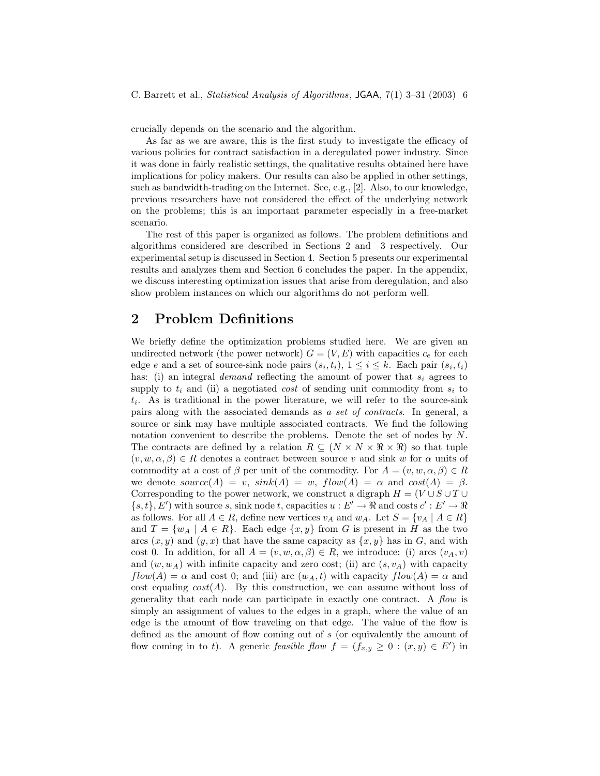crucially depends on the scenario and the algorithm.

As far as we are aware, this is the first study to investigate the efficacy of various policies for contract satisfaction in a deregulated power industry. Since it was done in fairly realistic settings, the qualitative results obtained here have implications for policy makers. Our results can also be applied in other settings, such as bandwidth-trading on the Internet. See, e.g., [2]. Also, to our knowledge, previous researchers have not considered the effect of the underlying network on the problems; this is an important parameter especially in a free-market scenario.

The rest of this paper is organized as follows. The problem definitions and algorithms considered are described in Sections 2 and 3 respectively. Our experimental setup is discussed in Section 4. Section 5 presents our experimental results and analyzes them and Section 6 concludes the paper. In the appendix, we discuss interesting optimization issues that arise from deregulation, and also show problem instances on which our algorithms do not perform well.

## **2 Problem Definitions**

We briefly define the optimization problems studied here. We are given an undirected network (the power network)  $G = (V, E)$  with capacities  $c_e$  for each edge e and a set of source-sink node pairs  $(s_i, t_i)$ ,  $1 \leq i \leq k$ . Each pair  $(s_i, t_i)$ has: (i) an integral *demand* reflecting the amount of power that  $s_i$  agrees to supply to  $t_i$  and (ii) a negotiated *cost* of sending unit commodity from  $s_i$  to  $t_i$ . As is traditional in the power literature, we will refer to the source-sink pairs along with the associated demands as *a set of contracts*. In general, a source or sink may have multiple associated contracts. We find the following notation convenient to describe the problems. Denote the set of nodes by N. The contracts are defined by a relation  $R \subseteq (N \times N \times \mathbb{R} \times \mathbb{R})$  so that tuple  $(v, w, \alpha, \beta) \in R$  denotes a contract between source v and sink w for  $\alpha$  units of commodity at a cost of  $\beta$  per unit of the commodity. For  $A = (v, w, \alpha, \beta) \in R$ we denote  $source(A) = v$ ,  $sink(A) = w$ ,  $flow(A) = \alpha$  and  $cost(A) = \beta$ . Corresponding to the power network, we construct a digraph  $H = (V \cup S \cup T \cup$  $\{s,t\}, E'$  with source s, sink node t, capacities  $u : E' \to \mathbb{R}$  and costs  $c' : E' \to \mathbb{R}$ as follows. For all  $A \in R$ , define new vertices  $v_A$  and  $w_A$ . Let  $S = \{v_A \mid A \in R\}$ and  $T = \{w_A \mid A \in R\}$ . Each edge  $\{x, y\}$  from G is present in H as the two arcs  $(x, y)$  and  $(y, x)$  that have the same capacity as  $\{x, y\}$  has in G, and with cost 0. In addition, for all  $A = (v, w, \alpha, \beta) \in R$ , we introduce: (i) arcs  $(v_A, v)$ and  $(w, w<sub>A</sub>)$  with infinite capacity and zero cost; (ii) arc  $(s, v<sub>A</sub>)$  with capacity  $flow(A) = \alpha$  and cost 0; and (iii) arc  $(w<sub>A</sub>, t)$  with capacity  $flow(A) = \alpha$  and cost equaling  $cost(A)$ . By this construction, we can assume without loss of generality that each node can participate in exactly one contract. A *flow* is simply an assignment of values to the edges in a graph, where the value of an edge is the amount of flow traveling on that edge. The value of the flow is defined as the amount of flow coming out of s (or equivalently the amount of flow coming in to t). A generic *feasible flow*  $f = (f_{x,y} \geq 0 : (x,y) \in E')$  in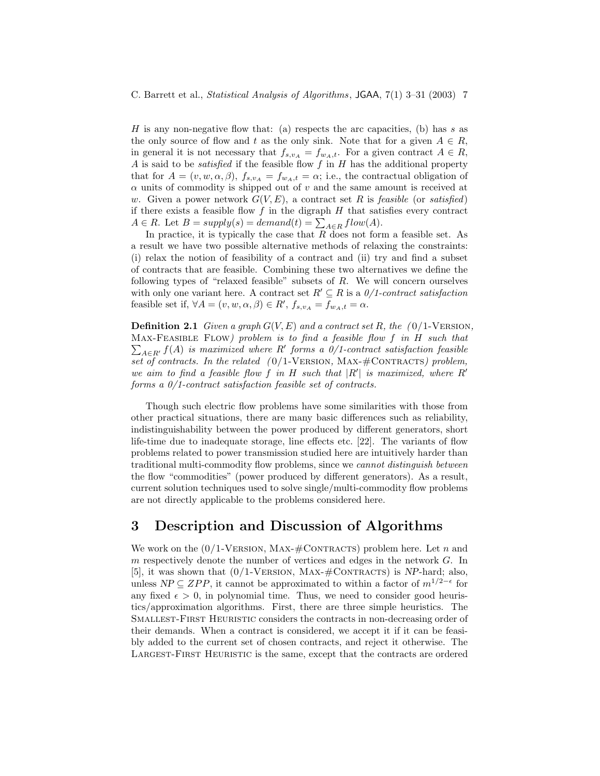#### C. Barrett et al., *Statistical Analysis of Algorithms*, JGAA, 7(1) 3–31 (2003) 7

H is any non-negative flow that: (a) respects the arc capacities, (b) has s as the only source of flow and t as the only sink. Note that for a given  $A \in R$ , in general it is not necessary that  $f_{s,v_A} = f_{w_A,t}$ . For a given contract  $A \in R$ , A is said to be *satisfied* if the feasible flow f in H has the additional property that for  $A = (v, w, \alpha, \beta)$ ,  $f_{s,v_A} = f_{w_A,t} = \alpha$ ; i.e., the contractual obligation of  $\alpha$  units of commodity is shipped out of v and the same amount is received at w. Given a power network  $G(V, E)$ , a contract set R is *feasible* (or *satisfied*) if there exists a feasible flow  $f$  in the digraph  $H$  that satisfies every contract  $A \in R$ . Let  $B = supply(s) = demand(t) = \sum_{A \in R} flow(A)$ .

In practice, it is typically the case that  $R$  does not form a feasible set. As a result we have two possible alternative methods of relaxing the constraints: (i) relax the notion of feasibility of a contract and (ii) try and find a subset of contracts that are feasible. Combining these two alternatives we define the following types of "relaxed feasible" subsets of R. We will concern ourselves with only one variant here. A contract set  $R' \subseteq R$  is a  $0/1$ -contract satisfaction feasible set if,  $\forall A = (v, w, \alpha, \beta) \in R',$   $f_{s,v_A} = f_{w_A,t} = \alpha$ .

**Definition 2.1** *Given a graph*  $G(V, E)$  *and a contract set* R, the  $(0/1$ -VERSION, Max-Feasible Flow *) problem is to find a feasible flow* f *in* H *such that*  $\sum_{A \in R'} f(A)$  *is maximized where* R' forms a 0/1-contract satisfaction feasible *set of contracts. In the related* (0/1-VERSION, MAX-#CONTRACTS) problem, *we aim to find a feasible flow* f *in* H *such that* |R | *is maximized, where* R *forms a 0/1-contract satisfaction feasible set of contracts.*

Though such electric flow problems have some similarities with those from other practical situations, there are many basic differences such as reliability, indistinguishability between the power produced by different generators, short life-time due to inadequate storage, line effects etc. [22]. The variants of flow problems related to power transmission studied here are intuitively harder than traditional multi-commodity flow problems, since we *cannot distinguish between* the flow "commodities" (power produced by different generators). As a result, current solution techniques used to solve single/multi-commodity flow problems are not directly applicable to the problems considered here.

# **3 Description and Discussion of Algorithms**

We work on the  $(0/1$ -VERSION, MAX- $\#$ CONTRACTS) problem here. Let n and  $m$  respectively denote the number of vertices and edges in the network  $G$ . In [5], it was shown that  $(0/1$ -VERSION, MAX- $\#$ CONTRACTS) is *NP*-hard; also, unless *NP* ⊆ *ZPP*, it cannot be approximated to within a factor of  $m^{1/2-\epsilon}$  for any fixed  $\epsilon > 0$ , in polynomial time. Thus, we need to consider good heuristics/approximation algorithms. First, there are three simple heuristics. The SMALLEST-FIRST HEURISTIC considers the contracts in non-decreasing order of their demands. When a contract is considered, we accept it if it can be feasibly added to the current set of chosen contracts, and reject it otherwise. The Largest-First Heuristic is the same, except that the contracts are ordered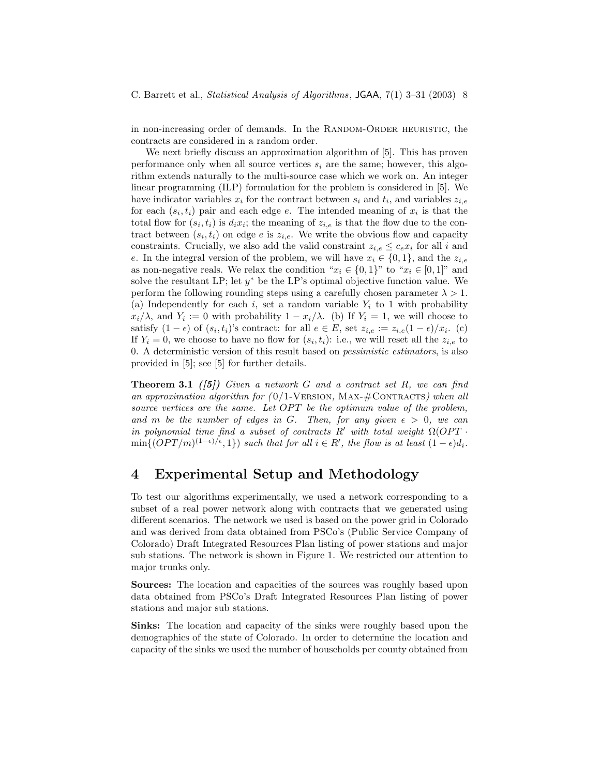in non-increasing order of demands. In the RANDOM-ORDER HEURISTIC, the contracts are considered in a random order.

We next briefly discuss an approximation algorithm of [5]. This has proven performance only when all source vertices  $s_i$  are the same; however, this algorithm extends naturally to the multi-source case which we work on. An integer linear programming (ILP) formulation for the problem is considered in [5]. We have indicator variables  $x_i$  for the contract between  $s_i$  and  $t_i$ , and variables  $z_{i,e}$ for each  $(s_i, t_i)$  pair and each edge e. The intended meaning of  $x_i$  is that the total flow for  $(s_i, t_i)$  is  $d_i x_i$ ; the meaning of  $z_{i,e}$  is that the flow due to the contract between  $(s_i, t_i)$  on edge e is  $z_{i,e}$ . We write the obvious flow and capacity constraints. Crucially, we also add the valid constraint  $z_{i,e} \leq c_e x_i$  for all i and e. In the integral version of the problem, we will have  $x_i \in \{0, 1\}$ , and the  $z_{i,e}$ as non-negative reals. We relax the condition " $x_i \in \{0,1\}$ " to " $x_i \in [0,1]$ " and solve the resultant LP; let  $y^*$  be the LP's optimal objective function value. We perform the following rounding steps using a carefully chosen parameter  $\lambda > 1$ . (a) Independently for each i, set a random variable  $Y_i$  to 1 with probability  $x_i/\lambda$ , and  $Y_i := 0$  with probability  $1 - x_i/\lambda$ . (b) If  $Y_i = 1$ , we will choose to satisfy  $(1 - \epsilon)$  of  $(s_i, t_i)$ 's contract: for all  $e \in E$ , set  $z_{i,e} := z_{i,e}(1 - \epsilon)/x_i$ . (c) If  $Y_i = 0$ , we choose to have no flow for  $(s_i, t_i)$ : i.e., we will reset all the  $z_{i,e}$  to 0. A deterministic version of this result based on *pessimistic estimators*, is also provided in [5]; see [5] for further details.

**Theorem 3.1** *([5]) Given a network* G *and a contract set* R*, we can find an approximation algorithm for (* 0/1-Version*,* Max-#Contracts*) when all source vertices are the same. Let* OPT *be the optimum value of the problem,* and *m* be the number of edges in G. Then, for any given  $\epsilon > 0$ , we can *in polynomial time find a subset of contracts*  $R'$  *with total weight*  $\Omega(OPT \cdot$  $\min\{(\mathcal{OPT}/m)^{(1-\epsilon)/\epsilon},1\}$  *such that for all*  $i \in R'$ *, the flow is at least*  $(1-\epsilon)d_i$ *.* 

## **4 Experimental Setup and Methodology**

To test our algorithms experimentally, we used a network corresponding to a subset of a real power network along with contracts that we generated using different scenarios. The network we used is based on the power grid in Colorado and was derived from data obtained from PSCo's (Public Service Company of Colorado) Draft Integrated Resources Plan listing of power stations and major sub stations. The network is shown in Figure 1. We restricted our attention to major trunks only.

**Sources:** The location and capacities of the sources was roughly based upon data obtained from PSCo's Draft Integrated Resources Plan listing of power stations and major sub stations.

**Sinks:** The location and capacity of the sinks were roughly based upon the demographics of the state of Colorado. In order to determine the location and capacity of the sinks we used the number of households per county obtained from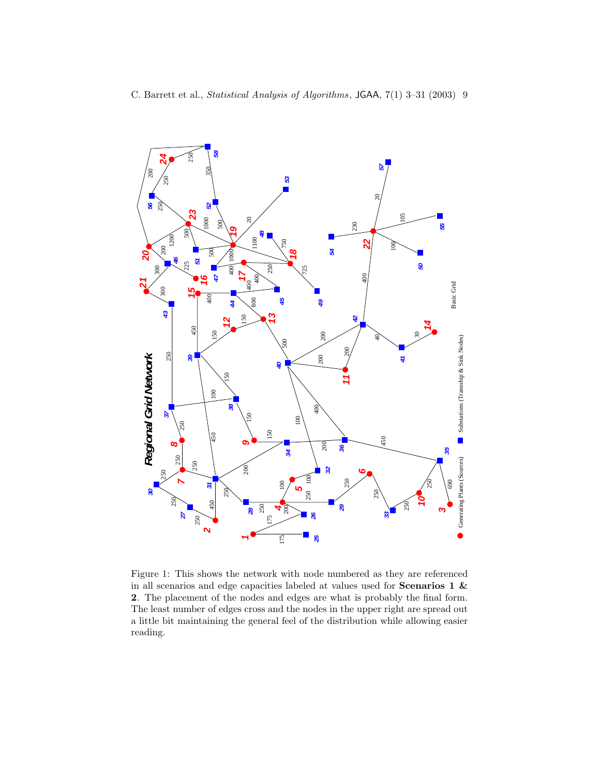

Figure 1: This shows the network with node numbered as they are referenced in all scenarios and edge capacities labeled at values used for **Scenarios 1 &** . The placement of the nodes and edges are what is probably the final form. The least number of edges cross and the nodes in the upper right are spread out a little bit maintaining the general feel of the distribution while allowing easier reading.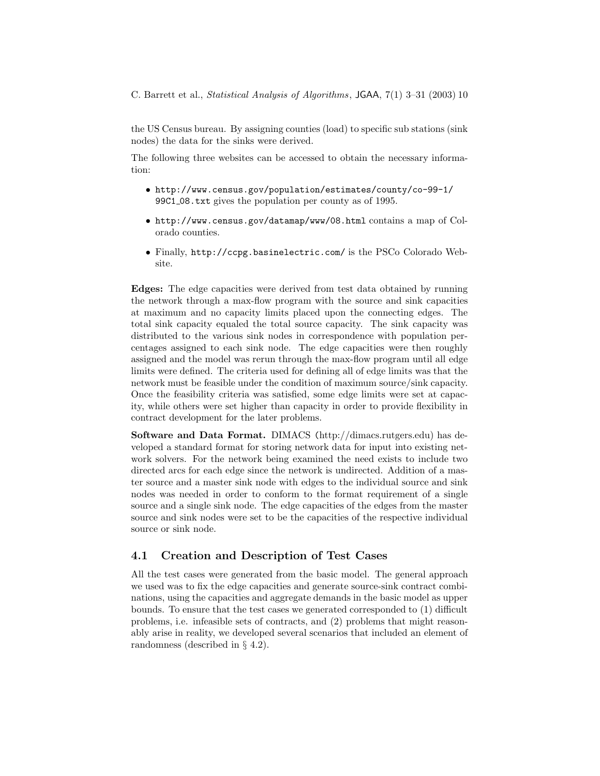the US Census bureau. By assigning counties (load) to specific sub stations (sink nodes) the data for the sinks were derived.

The following three websites can be accessed to obtain the necessary information:

- http://www.census.gov/population/estimates/county/co-99-1/ 99C1 08.txt gives the population per county as of 1995.
- http://www.census.gov/datamap/www/08.html contains a map of Colorado counties.
- Finally, http://ccpg.basinelectric.com/ is the PSCo Colorado Website.

**Edges:** The edge capacities were derived from test data obtained by running the network through a max-flow program with the source and sink capacities at maximum and no capacity limits placed upon the connecting edges. The total sink capacity equaled the total source capacity. The sink capacity was distributed to the various sink nodes in correspondence with population percentages assigned to each sink node. The edge capacities were then roughly assigned and the model was rerun through the max-flow program until all edge limits were defined. The criteria used for defining all of edge limits was that the network must be feasible under the condition of maximum source/sink capacity. Once the feasibility criteria was satisfied, some edge limits were set at capacity, while others were set higher than capacity in order to provide flexibility in contract development for the later problems.

**Software and Data Format.** DIMACS (http://dimacs.rutgers.edu) has developed a standard format for storing network data for input into existing network solvers. For the network being examined the need exists to include two directed arcs for each edge since the network is undirected. Addition of a master source and a master sink node with edges to the individual source and sink nodes was needed in order to conform to the format requirement of a single source and a single sink node. The edge capacities of the edges from the master source and sink nodes were set to be the capacities of the respective individual source or sink node.

## **4.1 Creation and Description of Test Cases**

All the test cases were generated from the basic model. The general approach we used was to fix the edge capacities and generate source-sink contract combinations, using the capacities and aggregate demands in the basic model as upper bounds. To ensure that the test cases we generated corresponded to (1) difficult problems, i.e. infeasible sets of contracts, and (2) problems that might reasonably arise in reality, we developed several scenarios that included an element of randomness (described in § 4.2).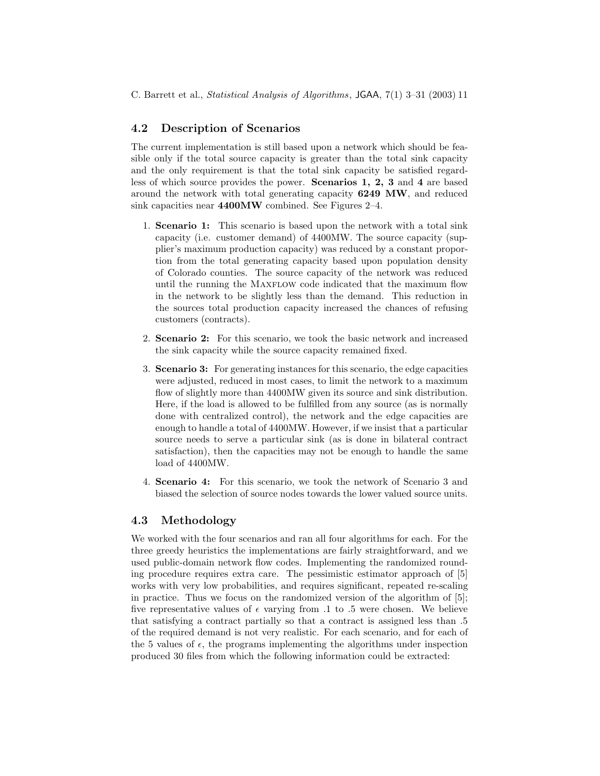## **4.2 Description of Scenarios**

The current implementation is still based upon a network which should be feasible only if the total source capacity is greater than the total sink capacity and the only requirement is that the total sink capacity be satisfied regardless of which source provides the power. **Scenarios 1, 2, 3** and **4** are based around the network with total generating capacity **6249 MW**, and reduced sink capacities near **4400MW** combined. See Figures 2–4.

- 1. **Scenario 1:** This scenario is based upon the network with a total sink capacity (i.e. customer demand) of 4400MW. The source capacity (supplier's maximum production capacity) was reduced by a constant proportion from the total generating capacity based upon population density of Colorado counties. The source capacity of the network was reduced until the running the MAXFLOW code indicated that the maximum flow in the network to be slightly less than the demand. This reduction in the sources total production capacity increased the chances of refusing customers (contracts).
- 2. **Scenario 2:** For this scenario, we took the basic network and increased the sink capacity while the source capacity remained fixed.
- 3. **Scenario 3:** For generating instances for this scenario, the edge capacities were adjusted, reduced in most cases, to limit the network to a maximum flow of slightly more than 4400MW given its source and sink distribution. Here, if the load is allowed to be fulfilled from any source (as is normally done with centralized control), the network and the edge capacities are enough to handle a total of 4400MW. However, if we insist that a particular source needs to serve a particular sink (as is done in bilateral contract satisfaction), then the capacities may not be enough to handle the same load of 4400MW.
- 4. **Scenario 4:** For this scenario, we took the network of Scenario 3 and biased the selection of source nodes towards the lower valued source units.

## **4.3 Methodology**

We worked with the four scenarios and ran all four algorithms for each. For the three greedy heuristics the implementations are fairly straightforward, and we used public-domain network flow codes. Implementing the randomized rounding procedure requires extra care. The pessimistic estimator approach of [5] works with very low probabilities, and requires significant, repeated re-scaling in practice. Thus we focus on the randomized version of the algorithm of [5]; five representative values of  $\epsilon$  varying from .1 to .5 were chosen. We believe that satisfying a contract partially so that a contract is assigned less than .5 of the required demand is not very realistic. For each scenario, and for each of the 5 values of  $\epsilon$ , the programs implementing the algorithms under inspection produced 30 files from which the following information could be extracted: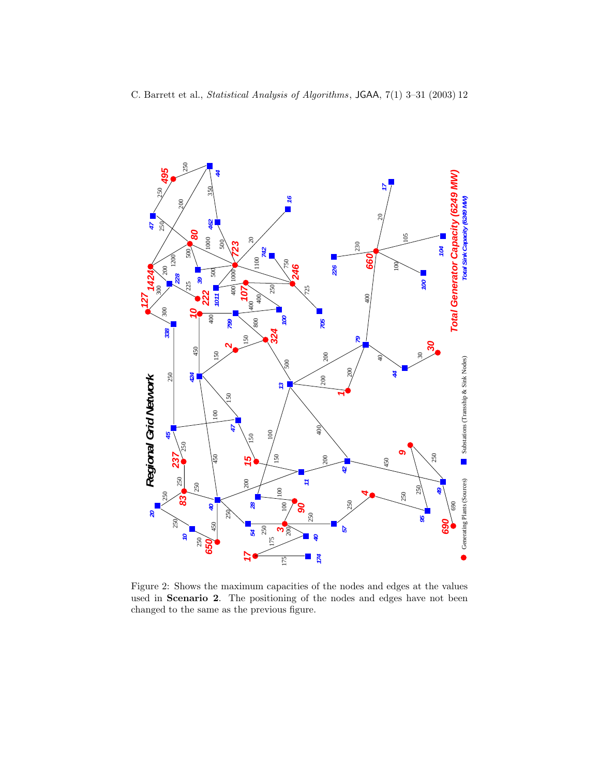

Figure 2: Shows the maximum capacities of the nodes and edges at the values used in **Scenario 2**. The positioning of the nodes and edges have not been changed to the same as the previous figure.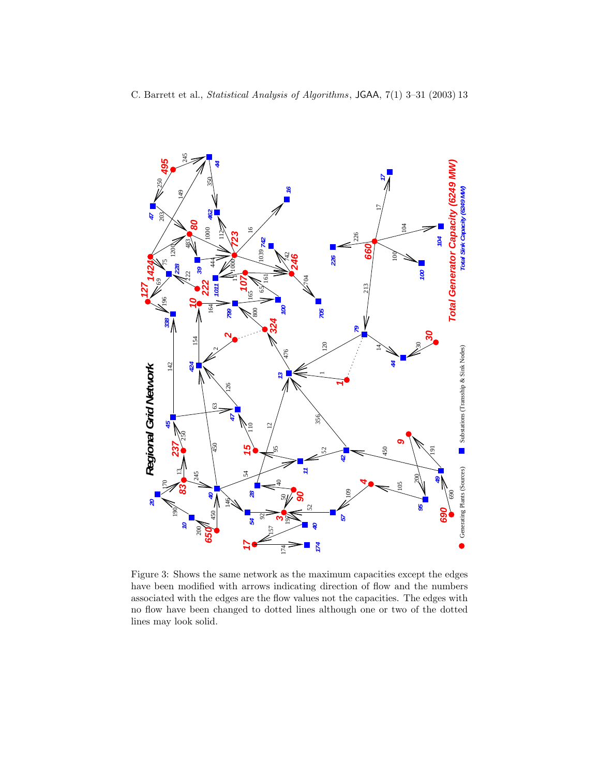

Figure 3: Shows the same network as the maximum capacities except the edges have been modified with arrows indicating direction of flow and the numbers associated with the edges are the flow values not the capacities. The edges with no flow have been changed to dotted lines although one or two of the dotted lines may look solid.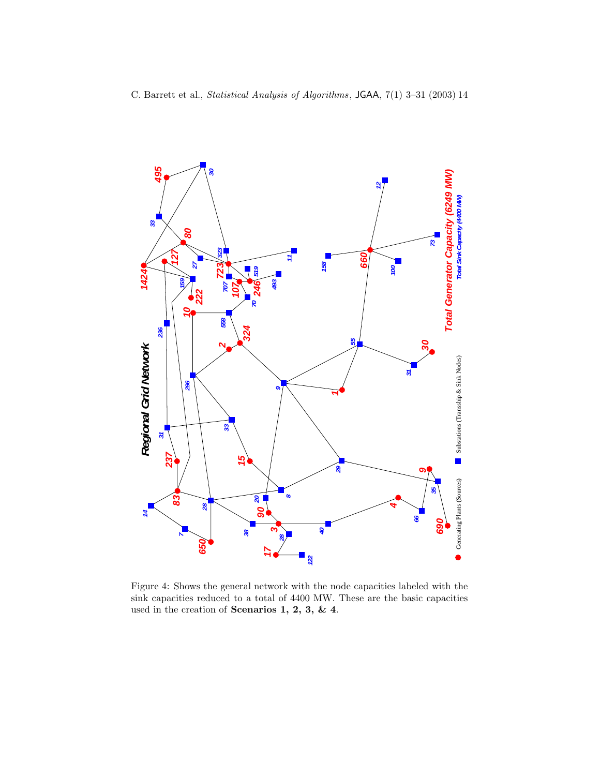

Figure 4: Shows the general network with the node capacities labeled with the sink capacities reduced to a total of 4400 MW. These are the basic capacities used in the creation of **Scenarios 1, 2, 3, & 4**.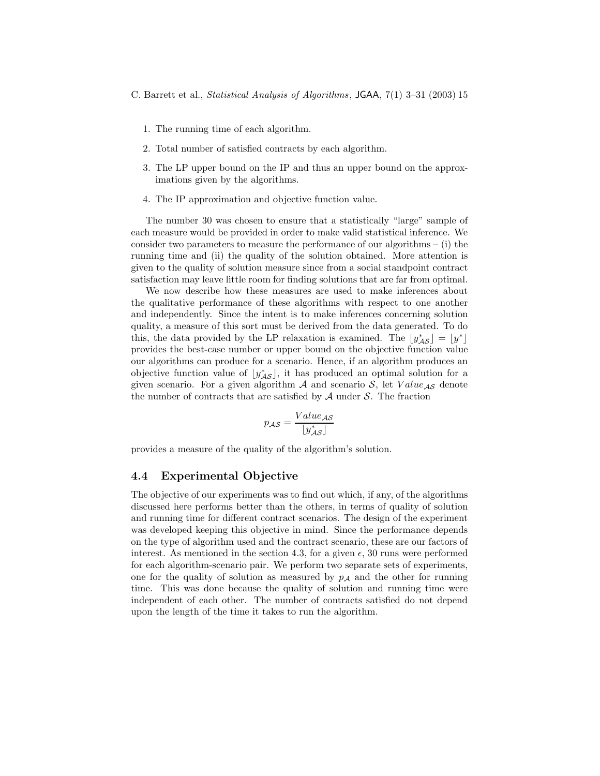- 1. The running time of each algorithm.
- 2. Total number of satisfied contracts by each algorithm.
- 3. The LP upper bound on the IP and thus an upper bound on the approximations given by the algorithms.
- 4. The IP approximation and objective function value.

The number 30 was chosen to ensure that a statistically "large" sample of each measure would be provided in order to make valid statistical inference. We consider two parameters to measure the performance of our algorithms  $-$  (i) the running time and (ii) the quality of the solution obtained. More attention is given to the quality of solution measure since from a social standpoint contract satisfaction may leave little room for finding solutions that are far from optimal.

We now describe how these measures are used to make inferences about the qualitative performance of these algorithms with respect to one another and independently. Since the intent is to make inferences concerning solution quality, a measure of this sort must be derived from the data generated. To do this, the data provided by the LP relaxation is examined. The  $\lfloor y^*_{AS} \rfloor = \lfloor y^* \rfloor$ provides the best-case number or upper bound on the objective function value our algorithms can produce for a scenario. Hence, if an algorithm produces an objective function value of  $\lfloor y^*_{\mathcal{AS}} \rfloor$ , it has produced an optimal solution for a given scenario. For a given algorithm  $A$  and scenario  $S$ , let  $Value_{AS}$  denote the number of contracts that are satisfied by  $A$  under  $S$ . The fraction

$$
p_{\mathcal{AS}} = \frac{Value_{\mathcal{AS}}}{\lfloor y_{\mathcal{AS}}^* \rfloor}
$$

provides a measure of the quality of the algorithm's solution.

#### **4.4 Experimental Objective**

The objective of our experiments was to find out which, if any, of the algorithms discussed here performs better than the others, in terms of quality of solution and running time for different contract scenarios. The design of the experiment was developed keeping this objective in mind. Since the performance depends on the type of algorithm used and the contract scenario, these are our factors of interest. As mentioned in the section 4.3, for a given  $\epsilon$ , 30 runs were performed for each algorithm-scenario pair. We perform two separate sets of experiments, one for the quality of solution as measured by  $p_A$  and the other for running time. This was done because the quality of solution and running time were independent of each other. The number of contracts satisfied do not depend upon the length of the time it takes to run the algorithm.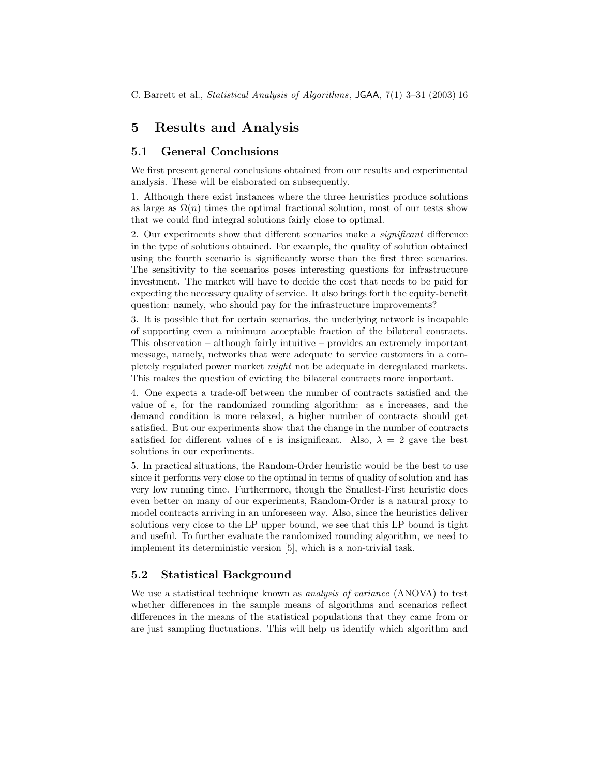## **5 Results and Analysis**

## **5.1 General Conclusions**

We first present general conclusions obtained from our results and experimental analysis. These will be elaborated on subsequently.

1. Although there exist instances where the three heuristics produce solutions as large as  $\Omega(n)$  times the optimal fractional solution, most of our tests show that we could find integral solutions fairly close to optimal.

2. Our experiments show that different scenarios make a *significant* difference in the type of solutions obtained. For example, the quality of solution obtained using the fourth scenario is significantly worse than the first three scenarios. The sensitivity to the scenarios poses interesting questions for infrastructure investment. The market will have to decide the cost that needs to be paid for expecting the necessary quality of service. It also brings forth the equity-benefit question: namely, who should pay for the infrastructure improvements?

3. It is possible that for certain scenarios, the underlying network is incapable of supporting even a minimum acceptable fraction of the bilateral contracts. This observation – although fairly intuitive – provides an extremely important message, namely, networks that were adequate to service customers in a completely regulated power market *might* not be adequate in deregulated markets. This makes the question of evicting the bilateral contracts more important.

4. One expects a trade-off between the number of contracts satisfied and the value of  $\epsilon$ , for the randomized rounding algorithm: as  $\epsilon$  increases, and the demand condition is more relaxed, a higher number of contracts should get satisfied. But our experiments show that the change in the number of contracts satisfied for different values of  $\epsilon$  is insignificant. Also,  $\lambda = 2$  gave the best solutions in our experiments.

5. In practical situations, the Random-Order heuristic would be the best to use since it performs very close to the optimal in terms of quality of solution and has very low running time. Furthermore, though the Smallest-First heuristic does even better on many of our experiments, Random-Order is a natural proxy to model contracts arriving in an unforeseen way. Also, since the heuristics deliver solutions very close to the LP upper bound, we see that this LP bound is tight and useful. To further evaluate the randomized rounding algorithm, we need to implement its deterministic version [5], which is a non-trivial task.

#### **5.2 Statistical Background**

We use a statistical technique known as *analysis of variance* (ANOVA) to test whether differences in the sample means of algorithms and scenarios reflect differences in the means of the statistical populations that they came from or are just sampling fluctuations. This will help us identify which algorithm and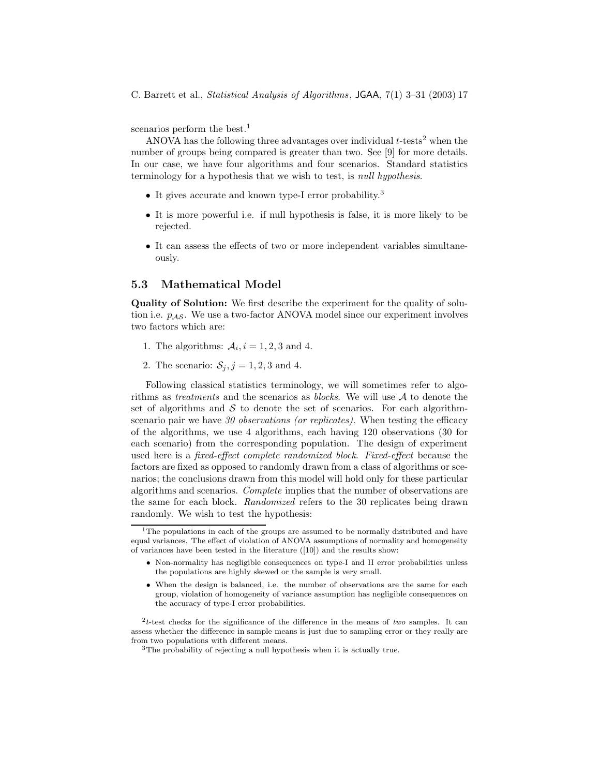scenarios perform the best.<sup>1</sup>

ANOVA has the following three advantages over individual  $t$ -tests<sup>2</sup> when the number of groups being compared is greater than two. See [9] for more details. In our case, we have four algorithms and four scenarios. Standard statistics terminology for a hypothesis that we wish to test, is *null hypothesis*.

- It gives accurate and known type-I error probability.<sup>3</sup>
- It is more powerful i.e. if null hypothesis is false, it is more likely to be rejected.
- It can assess the effects of two or more independent variables simultaneously.

#### **5.3 Mathematical Model**

**Quality of Solution:** We first describe the experiment for the quality of solution i.e.  $p_{\mathcal{A}S}$ . We use a two-factor ANOVA model since our experiment involves two factors which are:

- 1. The algorithms:  $A_i$ ,  $i = 1, 2, 3$  and 4.
- 2. The scenario:  $\mathcal{S}_j, j = 1, 2, 3$  and 4.

Following classical statistics terminology, we will sometimes refer to algorithms as *treatments* and the scenarios as *blocks*. We will use A to denote the set of algorithms and  $S$  to denote the set of scenarios. For each algorithmscenario pair we have *30 observations (or replicates)*. When testing the efficacy of the algorithms, we use 4 algorithms, each having 120 observations (30 for each scenario) from the corresponding population. The design of experiment used here is a *fixed-effect complete randomized block*. *Fixed-effect* because the factors are fixed as opposed to randomly drawn from a class of algorithms or scenarios; the conclusions drawn from this model will hold only for these particular algorithms and scenarios. *Complete* implies that the number of observations are the same for each block. *Randomized* refers to the 30 replicates being drawn randomly. We wish to test the hypothesis:

- *•* Non-normality has negligible consequences on type-I and II error probabilities unless the populations are highly skewed or the sample is very small.
- When the design is balanced, i.e. the number of observations are the same for each group, violation of homogeneity of variance assumption has negligible consequences on the accuracy of type-I error probabilities.

<sup>2</sup>t-test checks for the significance of the difference in the means of *two* samples. It can assess whether the difference in sample means is just due to sampling error or they really are from two populations with different means.

<sup>&</sup>lt;sup>1</sup>The populations in each of the groups are assumed to be normally distributed and have equal variances. The effect of violation of ANOVA assumptions of normality and homogeneity of variances have been tested in the literature ([10]) and the results show:

<sup>&</sup>lt;sup>3</sup>The probability of rejecting a null hypothesis when it is actually true.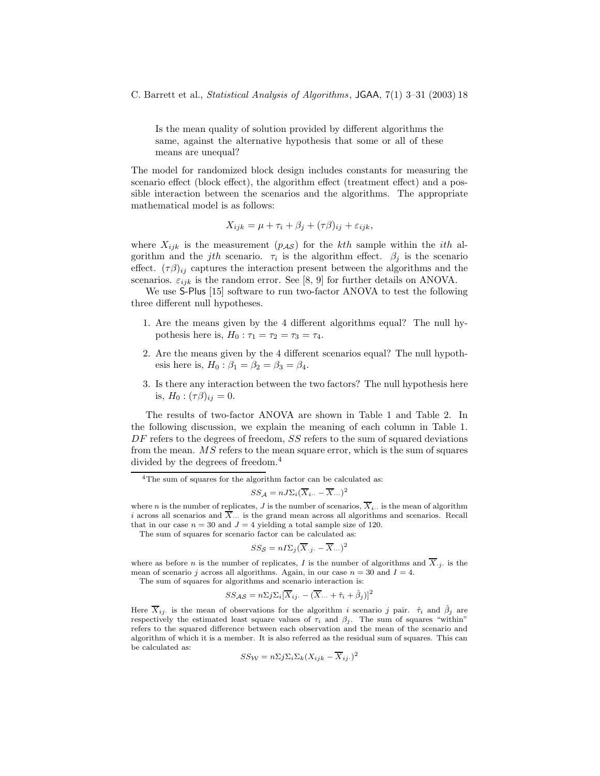Is the mean quality of solution provided by different algorithms the same, against the alternative hypothesis that some or all of these means are unequal?

The model for randomized block design includes constants for measuring the scenario effect (block effect), the algorithm effect (treatment effect) and a possible interaction between the scenarios and the algorithms. The appropriate mathematical model is as follows:

$$
X_{ijk} = \mu + \tau_i + \beta_j + (\tau \beta)_{ij} + \varepsilon_{ijk},
$$

where  $X_{ijk}$  is the measurement  $(p_{\mathcal{AS}})$  for the kth sample within the *ith* algorithm and the *jth* scenario.  $\tau_i$  is the algorithm effect.  $\beta_j$  is the scenario effect.  $({\tau \beta})_{ij}$  captures the interaction present between the algorithms and the scenarios.  $\varepsilon_{ijk}$  is the random error. See [8, 9] for further details on ANOVA.

We use S-Plus [15] software to run two-factor ANOVA to test the following three different null hypotheses.

- 1. Are the means given by the 4 different algorithms equal? The null hypothesis here is,  $H_0$ :  $\tau_1 = \tau_2 = \tau_3 = \tau_4$ .
- 2. Are the means given by the 4 different scenarios equal? The null hypothesis here is,  $H_0: \beta_1 = \beta_2 = \beta_3 = \beta_4$ .
- 3. Is there any interaction between the two factors? The null hypothesis here is,  $H_0: (\tau \beta)_{ij} = 0.$

The results of two-factor ANOVA are shown in Table 1 and Table 2. In the following discussion, we explain the meaning of each column in Table 1. DF refers to the degrees of freedom, SS refers to the sum of squared deviations from the mean. MS refers to the mean square error, which is the sum of squares divided by the degrees of freedom.<sup>4</sup>

$$
SS_{\mathcal{A}} = nJ\Sigma_i(\overline{X}_{i\cdots} - \overline{X}_{\cdots})^2
$$

The sum of squares for scenario factor can be calculated as:

$$
SS_{\mathcal{S}} = nI\Sigma_j(\overline{X}_{\cdot j\cdot} - \overline{X}_{\cdot\cdot\cdot})^2
$$

where as before n is the number of replicates, I is the number of algorithms and  $\overline{X}_{i}$  is the mean of scenario j across all algorithms. Again, in our case  $n = 30$  and  $I = 4$ . The sum of squares for algorithms and scenario interaction is:

$$
SS_{\mathcal{AS}} = n\Sigma j \Sigma_i [\overline{X}_{ij\cdot} - (\overline{X}_{\cdot\cdot\cdot} + \hat{\tau}_i + \hat{\beta}_j)]^2
$$

Here  $\overline{X}_{ij}$ *i* is the mean of observations for the algorithm *i* scenario *j* pair.  $\hat{\tau}_i$  and  $\hat{\beta}_j$  are respectively the estimated least square values of  $\tau_i$  and  $\beta_j$ . The sum of squares "within" refers to the squared difference between each observation and the mean of the scenario and algorithm of which it is a member. It is also referred as the residual sum of squares. This can be calculated as:

$$
SS_W = n\Sigma_j \Sigma_i \Sigma_k (X_{ijk} - \overline{X}_{ij.})^2
$$

 ${}^{4}{\rm The}$  sum of squares for the algorithm factor can be calculated as:

where *n* is the number of replicates, *J* is the number of scenarios,  $\overline{X}_i$ *<sup>\*</sup>* is the mean of algorithm i across all scenarios and  $\overline{X}$ *···* is the grand mean across all algorithms and scenarios. Recall that in our case  $n = 30$  and  $J = 4$  yielding a total sample size of 120.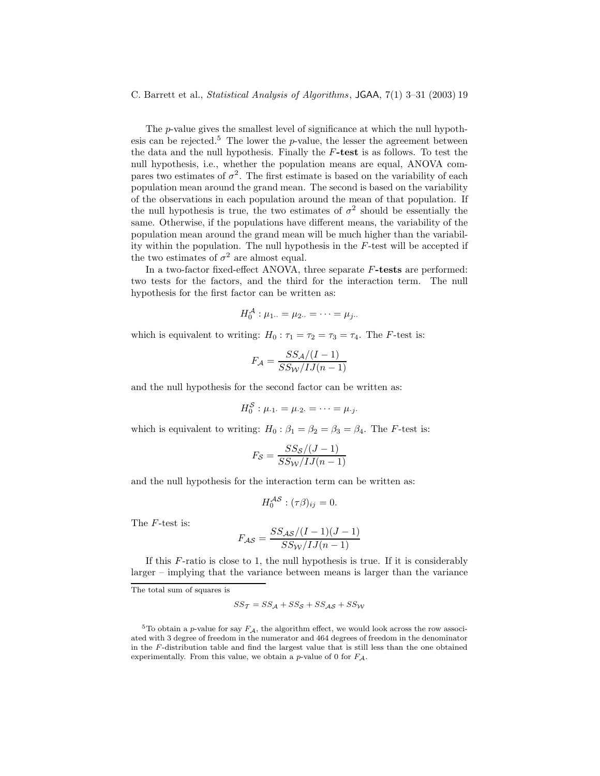#### C. Barrett et al., *Statistical Analysis of Algorithms*, JGAA, 7(1) 3–31 (2003) 19

The p-value gives the smallest level of significance at which the null hypothesis can be rejected.<sup>5</sup> The lower the  $p$ -value, the lesser the agreement between the data and the null hypothesis. Finally the F**-test** is as follows. To test the null hypothesis, i.e., whether the population means are equal, ANOVA compares two estimates of  $\sigma^2$ . The first estimate is based on the variability of each population mean around the grand mean. The second is based on the variability of the observations in each population around the mean of that population. If the null hypothesis is true, the two estimates of  $\sigma^2$  should be essentially the same. Otherwise, if the populations have different means, the variability of the population mean around the grand mean will be much higher than the variability within the population. The null hypothesis in the  $F$ -test will be accepted if the two estimates of  $\sigma^2$  are almost equal.

In a two-factor fixed-effect ANOVA, three separate F**-tests** are performed: two tests for the factors, and the third for the interaction term. The null hypothesis for the first factor can be written as:

$$
H_0^{\mathcal{A}} : \mu_{1\cdot\cdot} = \mu_{2\cdot\cdot} = \cdots = \mu_j.
$$

which is equivalent to writing:  $H_0: \tau_1 = \tau_2 = \tau_3 = \tau_4$ . The F-test is:

$$
F_{\mathcal{A}} = \frac{SS_{\mathcal{A}}/(I-1)}{SS_{\mathcal{W}}/IJ(n-1)}
$$

and the null hypothesis for the second factor can be written as:

$$
H_0^S: \mu_{-1} = \mu_{-2} = \cdots = \mu_{-j}.
$$

which is equivalent to writing:  $H_0: \beta_1 = \beta_2 = \beta_3 = \beta_4$ . The F-test is:

$$
F_{\mathcal{S}} = \frac{SS_{\mathcal{S}}/(J-1)}{SS_{\mathcal{W}}/IJ(n-1)}
$$

and the null hypothesis for the interaction term can be written as:

$$
H_0^{\mathcal{AS}} : (\tau \beta)_{ij} = 0.
$$

The F-test is:

$$
F_{\mathcal{AS}} = \frac{SS_{\mathcal{AS}}/(I-1)(J-1)}{SS_{\mathcal{W}}/IJ(n-1)}
$$

If this F-ratio is close to 1, the null hypothesis is true. If it is considerably larger – implying that the variance between means is larger than the variance

$$
SS_T = SS_A + SS_S + SS_{AS} + SS_W
$$

The total sum of squares is

<sup>&</sup>lt;sup>5</sup>To obtain a *p*-value for say  $F_A$ , the algorithm effect, we would look across the row associated with 3 degree of freedom in the numerator and 464 degrees of freedom in the denominator in the F-distribution table and find the largest value that is still less than the one obtained experimentally. From this value, we obtain a p-value of 0 for  $F_A$ .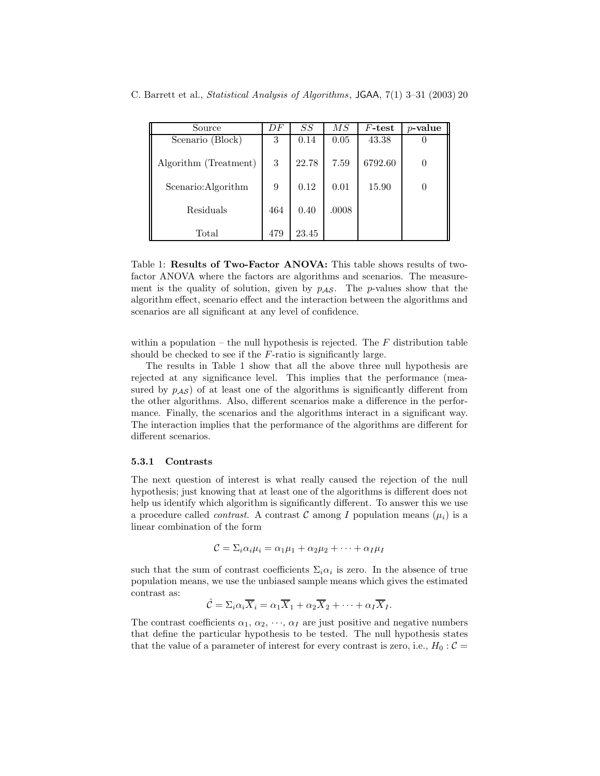| Source                | D F | SS    | МS    | $F\text{-test}$ | <i>p</i> -value |
|-----------------------|-----|-------|-------|-----------------|-----------------|
| Scenario (Block)      | 3   | 0.14  | 0.05  | 43.38           |                 |
| Algorithm (Treatment) | 3   | 22.78 | 7.59  | 6792.60         | 0               |
| Scenario: Algorithm   | 9   | 0.12  | 0.01  | 15.90           | $\theta$        |
| Residuals             | 464 | 0.40  | .0008 |                 |                 |

Total  $\begin{array}{|c|c|c|c|c|} \hline 479 & 23.45 \\ \hline \end{array}$ 

Table 1: **Results of Two-Factor ANOVA:** This table shows results of twofactor ANOVA where the factors are algorithms and scenarios. The measurement is the quality of solution, given by  $p_{\mathcal{A}S}$ . The p-values show that the algorithm effect, scenario effect and the interaction between the algorithms and scenarios are all significant at any level of confidence.

within a population – the null hypothesis is rejected. The  $F$  distribution table should be checked to see if the F-ratio is significantly large.

The results in Table 1 show that all the above three null hypothesis are rejected at any significance level. This implies that the performance (measured by  $p_{AS}$ ) of at least one of the algorithms is significantly different from the other algorithms. Also, different scenarios make a difference in the performance. Finally, the scenarios and the algorithms interact in a significant way. The interaction implies that the performance of the algorithms are different for different scenarios.

#### **5.3.1 Contrasts**

The next question of interest is what really caused the rejection of the null hypothesis; just knowing that at least one of the algorithms is different does not help us identify which algorithm is significantly different. To answer this we use a procedure called *contrast*. A contrast C among I population means  $(\mu_i)$  is a linear combination of the form

$$
\mathcal{C} = \Sigma_i \alpha_i \mu_i = \alpha_1 \mu_1 + \alpha_2 \mu_2 + \dots + \alpha_I \mu_I
$$

such that the sum of contrast coefficients  $\Sigma_i \alpha_i$  is zero. In the absence of true population means, we use the unbiased sample means which gives the estimated contrast as:

$$
\hat{\mathcal{C}} = \Sigma_i \alpha_i \overline{X}_i = \alpha_1 \overline{X}_1 + \alpha_2 \overline{X}_2 + \dots + \alpha_I \overline{X}_I.
$$

The contrast coefficients  $\alpha_1, \alpha_2, \cdots, \alpha_l$  are just positive and negative numbers that define the particular hypothesis to be tested. The null hypothesis states that the value of a parameter of interest for every contrast is zero, i.e.,  $H_0: \mathcal{C} =$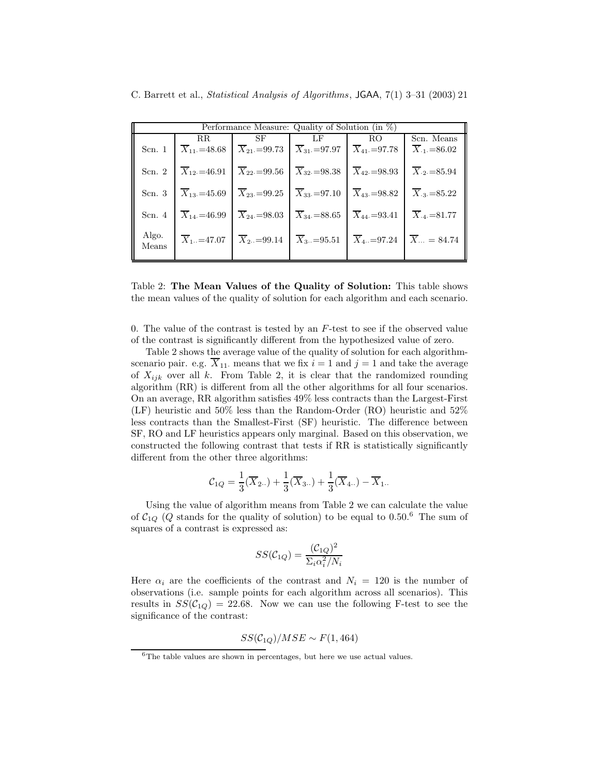| Performance Measure: Quality of Solution (in $\%$ ) |                             |                             |                                                         |                             |                             |  |  |  |
|-----------------------------------------------------|-----------------------------|-----------------------------|---------------------------------------------------------|-----------------------------|-----------------------------|--|--|--|
|                                                     | $_{\rm RR}$                 | SF.                         |                                                         | RO.                         | Scn. Means                  |  |  |  |
| Sen. 1                                              | $\overline{X}_{11} = 48.68$ | $\overline{X}_{21} = 99.73$ | $\overline{X}_{31} = 97.97$ $\overline{X}_{41} = 97.78$ |                             | $\overline{X}_{.1} = 86.02$ |  |  |  |
| Scn. 2                                              | $\overline{X}_{12} = 46.91$ | $\overline{X}_{22} = 99.56$ | $\overline{X}_{32} = 98.38$                             | $\overline{X}_{42} = 98.93$ | $\overline{X}_{.2} = 85.94$ |  |  |  |
| Scn. $3$                                            | $\overline{X}_{13} = 45.69$ | $\overline{X}_{23} = 99.25$ | $\overline{X}_{33} = 97.10$ $\overline{X}_{43} = 98.82$ |                             | $\overline{X}_{.3} = 85.22$ |  |  |  |
| Scn. 4                                              | $\overline{X}_{14} = 46.99$ | $\overline{X}_{24} = 98.03$ | $\overline{X}_{34} = 88.65$                             | $\overline{X}_{44} = 93.41$ | $\overline{X}_{.4} = 81.77$ |  |  |  |
| Algo.<br>Means                                      | $\overline{X}_1$ =47.07     | $\overline{X}_2 = 99.14$    | $\overline{X}_3 = 95.51$                                | $\overline{X}_4 = 97.24$    | $\overline{X}_{} = 84.74$   |  |  |  |

Table 2: **The Mean Values of the Quality of Solution:** This table shows the mean values of the quality of solution for each algorithm and each scenario.

0. The value of the contrast is tested by an  $F$ -test to see if the observed value of the contrast is significantly different from the hypothesized value of zero.

Table 2 shows the average value of the quality of solution for each algorithmscenario pair. e.g.  $\overline{X}_{11}$  means that we fix  $i = 1$  and  $j = 1$  and take the average of  $X_{ijk}$  over all k. From Table 2, it is clear that the randomized rounding algorithm (RR) is different from all the other algorithms for all four scenarios. On an average, RR algorithm satisfies 49% less contracts than the Largest-First (LF) heuristic and 50% less than the Random-Order (RO) heuristic and 52% less contracts than the Smallest-First (SF) heuristic. The difference between SF, RO and LF heuristics appears only marginal. Based on this observation, we constructed the following contrast that tests if RR is statistically significantly different from the other three algorithms:

$$
\mathcal{C}_{1Q} = \frac{1}{3}(\overline{X}_{2\cdot\cdot}) + \frac{1}{3}(\overline{X}_{3\cdot\cdot}) + \frac{1}{3}(\overline{X}_{4\cdot\cdot}) - \overline{X}_{1\cdot\cdot}
$$

Using the value of algorithm means from Table 2 we can calculate the value of  $C_{1Q}$  (Q stands for the quality of solution) to be equal to 0.50.<sup>6</sup> The sum of squares of a contrast is expressed as:

$$
SS(\mathcal{C}_{1Q}) = \frac{(\mathcal{C}_{1Q})^2}{\Sigma_i \alpha_i^2 / N_i}
$$

Here  $\alpha_i$  are the coefficients of the contrast and  $N_i = 120$  is the number of observations (i.e. sample points for each algorithm across all scenarios). This results in  $SS(\mathcal{C}_{1Q}) = 22.68$ . Now we can use the following F-test to see the significance of the contrast:

 $SS(\mathcal{C}_{1Q})/MSE \sim F(1, 464)$ 

<sup>&</sup>lt;sup>6</sup>The table values are shown in percentages, but here we use actual values.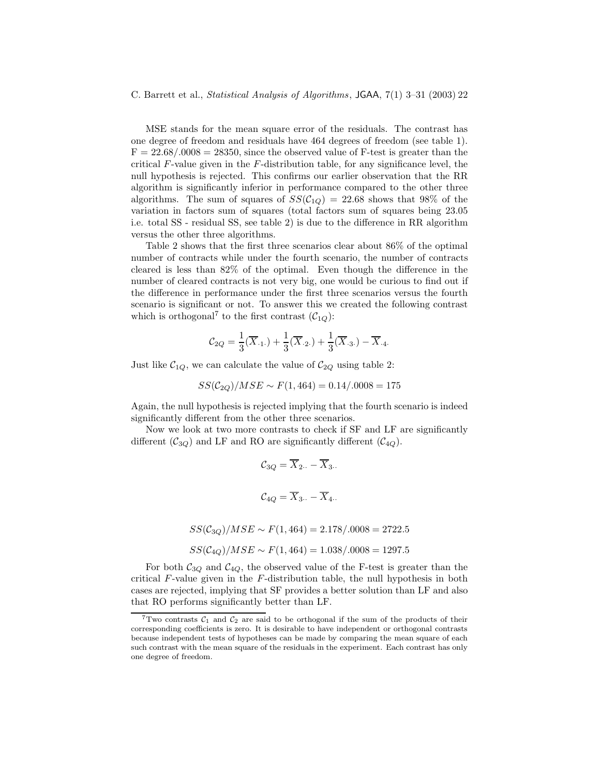#### C. Barrett et al., *Statistical Analysis of Algorithms*, JGAA, 7(1) 3–31 (2003) 22

MSE stands for the mean square error of the residuals. The contrast has one degree of freedom and residuals have 464 degrees of freedom (see table 1).  $F = 22.68/.0008 = 28350$ , since the observed value of F-test is greater than the critical  $F$ -value given in the  $F$ -distribution table, for any significance level, the null hypothesis is rejected. This confirms our earlier observation that the RR algorithm is significantly inferior in performance compared to the other three algorithms. The sum of squares of  $SS(\mathcal{C}_{1Q}) = 22.68$  shows that 98% of the variation in factors sum of squares (total factors sum of squares being 23.05 i.e. total SS - residual SS, see table 2) is due to the difference in RR algorithm versus the other three algorithms.

Table 2 shows that the first three scenarios clear about 86% of the optimal number of contracts while under the fourth scenario, the number of contracts cleared is less than 82% of the optimal. Even though the difference in the number of cleared contracts is not very big, one would be curious to find out if the difference in performance under the first three scenarios versus the fourth scenario is significant or not. To answer this we created the following contrast which is orthogonal<sup>7</sup> to the first contrast  $(C_{1Q})$ :

$$
\mathcal{C}_{2Q} = \frac{1}{3}(\overline{X}_{.1.}) + \frac{1}{3}(\overline{X}_{.2.}) + \frac{1}{3}(\overline{X}_{.3.}) - \overline{X}_{.4.}
$$

Just like  $C_{1Q}$ , we can calculate the value of  $C_{2Q}$  using table 2:

$$
SS(\mathcal{C}_{2Q})/MSE \sim F(1,464) = 0.14/.0008 = 175
$$

Again, the null hypothesis is rejected implying that the fourth scenario is indeed significantly different from the other three scenarios.

Now we look at two more contrasts to check if SF and LF are significantly different  $(\mathcal{C}_{3Q})$  and LF and RO are significantly different  $(\mathcal{C}_{4Q})$ .

$$
\mathcal{C}_{3Q} = \overline{X}_{2\cdot \cdot} - \overline{X}_{3\cdot \cdot}
$$

$$
\mathcal{C}_{4Q} = \overline{X}_{3\cdot \cdot} - \overline{X}_{4\cdot \cdot}
$$

$$
SS(\mathcal{C}_{3Q})/MSE \sim F(1, 464) = 2.178/.0008 = 2722.5
$$

 $SS(\mathcal{C}_{4Q})/MSE \sim F(1, 464) = 1.038/.0008 = 1297.5$ 

For both  $C_{3Q}$  and  $C_{4Q}$ , the observed value of the F-test is greater than the critical F-value given in the F-distribution table, the null hypothesis in both cases are rejected, implying that SF provides a better solution than LF and also that RO performs significantly better than LF.

 $7$ Two contrasts  $C_1$  and  $C_2$  are said to be orthogonal if the sum of the products of their corresponding coefficients is zero. It is desirable to have independent or orthogonal contrasts because independent tests of hypotheses can be made by comparing the mean square of each such contrast with the mean square of the residuals in the experiment. Each contrast has only one degree of freedom.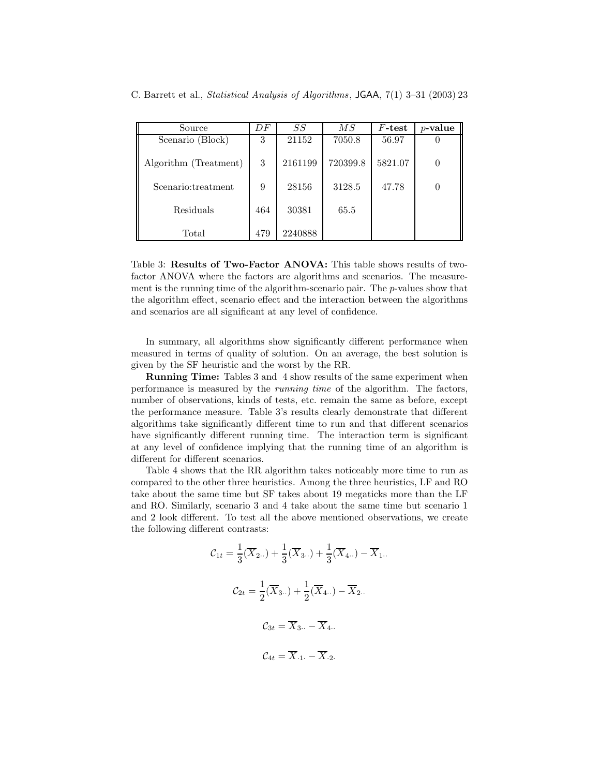| Source                | DF  | SS      | МS       | $F\text{-test}$ | $p$ -value |
|-----------------------|-----|---------|----------|-----------------|------------|
| Scenario (Block)      | 3   | 21152   | 7050.8   | 56.97           |            |
| Algorithm (Treatment) |     | 2161199 | 720399.8 | 5821.07         |            |
| Scenario:treatment    | 9   | 28156   | 3128.5   | 47.78           |            |
| Residuals             | 464 | 30381   | 65.5     |                 |            |

Table 3: **Results of Two-Factor ANOVA:** This table shows results of twofactor ANOVA where the factors are algorithms and scenarios. The measurement is the running time of the algorithm-scenario pair. The  $p$ -values show that the algorithm effect, scenario effect and the interaction between the algorithms and scenarios are all significant at any level of confidence.

Total 479 2240888

In summary, all algorithms show significantly different performance when measured in terms of quality of solution. On an average, the best solution is given by the SF heuristic and the worst by the RR.

**Running Time:** Tables 3 and 4 show results of the same experiment when performance is measured by the *running time* of the algorithm. The factors, number of observations, kinds of tests, etc. remain the same as before, except the performance measure. Table 3's results clearly demonstrate that different algorithms take significantly different time to run and that different scenarios have significantly different running time. The interaction term is significant at any level of confidence implying that the running time of an algorithm is different for different scenarios.

Table 4 shows that the RR algorithm takes noticeably more time to run as compared to the other three heuristics. Among the three heuristics, LF and RO take about the same time but SF takes about 19 megaticks more than the LF and RO. Similarly, scenario 3 and 4 take about the same time but scenario 1 and 2 look different. To test all the above mentioned observations, we create the following different contrasts:

$$
C_{1t} = \frac{1}{3}(\overline{X}_{2\cdot\cdot}) + \frac{1}{3}(\overline{X}_{3\cdot\cdot}) + \frac{1}{3}(\overline{X}_{4\cdot\cdot}) - \overline{X}_{1\cdot\cdot}
$$

$$
C_{2t} = \frac{1}{2}(\overline{X}_{3\cdot\cdot}) + \frac{1}{2}(\overline{X}_{4\cdot\cdot}) - \overline{X}_{2\cdot\cdot}
$$

$$
C_{3t} = \overline{X}_{3\cdot\cdot} - \overline{X}_{4\cdot\cdot}
$$

$$
C_{4t} = \overline{X}_{\cdot1\cdot} - \overline{X}_{\cdot2\cdot}
$$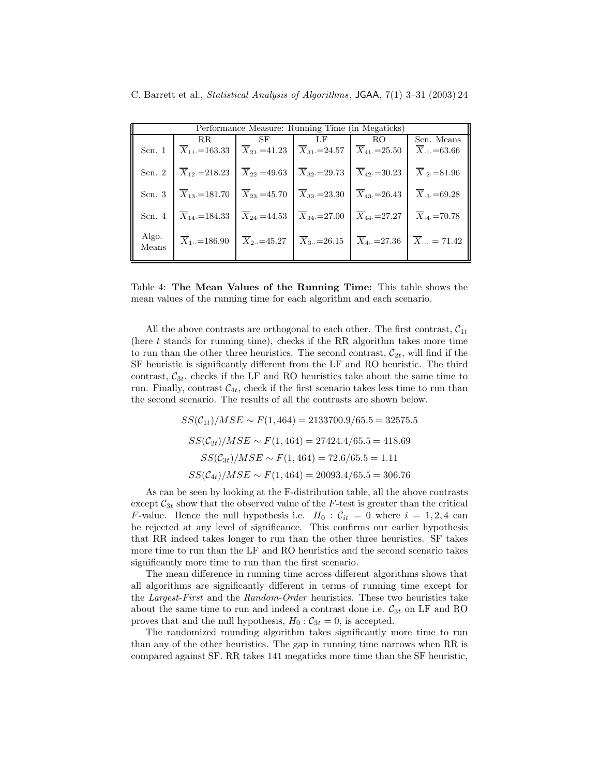| Performance Measure: Running Time (in Megaticks) |                              |                             |                                                                            |                             |                             |  |  |  |
|--------------------------------------------------|------------------------------|-----------------------------|----------------------------------------------------------------------------|-----------------------------|-----------------------------|--|--|--|
|                                                  | $_{\rm RR}$                  | SF                          |                                                                            | RO                          | Scn. Means                  |  |  |  |
| Sen. 1                                           | $\overline{X}_{11} = 163.33$ | $\overline{X}_{21} = 41.23$ | $\overline{X}_{31} = 24.57$                                                | $\overline{X}_{41} = 25.50$ | $\overline{X}_{.1} = 63.66$ |  |  |  |
| Scn. $2$                                         | $\overline{X}_{12} = 218.23$ | $\overline{X}_{22} = 49.63$ | $\overline{X}_{32} = 29.73$                                                | $\overline{X}_{42} = 30.23$ | $\overline{X}_{.2} = 81.96$ |  |  |  |
| Scn. 3                                           | $\overline{X}_{13} = 181.70$ | $\overline{X}_{23} = 45.70$ | $\overline{X}_{33} = 23.30$                                                | $\overline{X}_{43} = 26.43$ | $\overline{X}_{.3} = 69.28$ |  |  |  |
| Scn. 4                                           | $\overline{X}_{14} = 184.33$ | $\overline{X}_{24} = 44.53$ | $\overline{X}_{34} = 27.00$                                                | $\overline{X}_{44} = 27.27$ | $\overline{X}_{.4}$ = 70.78 |  |  |  |
| Algo.<br>Means                                   | $\overline{X}_1 = 186.90$    |                             | $\overline{X}_2 = 45.27$ $\overline{X}_3 = 26.15$ $\overline{X}_4 = 27.36$ |                             | $\overline{X}_{} = 71.42$   |  |  |  |

Table 4: **The Mean Values of the Running Time:** This table shows the mean values of the running time for each algorithm and each scenario.

All the above contrasts are orthogonal to each other. The first contrast,  $C_{1t}$ (here  $t$  stands for running time), checks if the RR algorithm takes more time to run than the other three heuristics. The second contrast,  $C_{2t}$ , will find if the SF heuristic is significantly different from the LF and RO heuristic. The third contrast,  $C_{3t}$ , checks if the LF and RO heuristics take about the same time to run. Finally, contrast  $C_{4t}$ , check if the first scenario takes less time to run than the second scenario. The results of all the contrasts are shown below.

> $SS(\mathcal{C}_{1t})/MSE \sim F(1, 464) = 2133700.9/65.5 = 32575.5$  $SS(\mathcal{C}_{2t})/MSE \sim F(1, 464) = 27424.4/65.5 = 418.69$  $SS(\mathcal{C}_{3t})/MSE \sim F(1, 464) = 72.6/65.5 = 1.11$  $SS(\mathcal{C}_{4t})/MSE \sim F(1, 464) = 20093.4/65.5 = 306.76$

As can be seen by looking at the F-distribution table, all the above contrasts except  $C_{3t}$  show that the observed value of the F-test is greater than the critical *F*-value. Hence the null hypothesis i.e.  $H_0$ :  $C_{it} = 0$  where  $i = 1, 2, 4$  can be rejected at any level of significance. This confirms our earlier hypothesis that RR indeed takes longer to run than the other three heuristics. SF takes more time to run than the LF and RO heuristics and the second scenario takes significantly more time to run than the first scenario.

The mean difference in running time across different algorithms shows that all algorithms are significantly different in terms of running time except for the *Largest-First* and the *Random-Order* heuristics. These two heuristics take about the same time to run and indeed a contrast done i.e.  $C_{3t}$  on LF and RO proves that and the null hypothesis,  $H_0 : C_{3t} = 0$ , is accepted.

The randomized rounding algorithm takes significantly more time to run than any of the other heuristics. The gap in running time narrows when RR is compared against SF. RR takes 141 megaticks more time than the SF heuristic,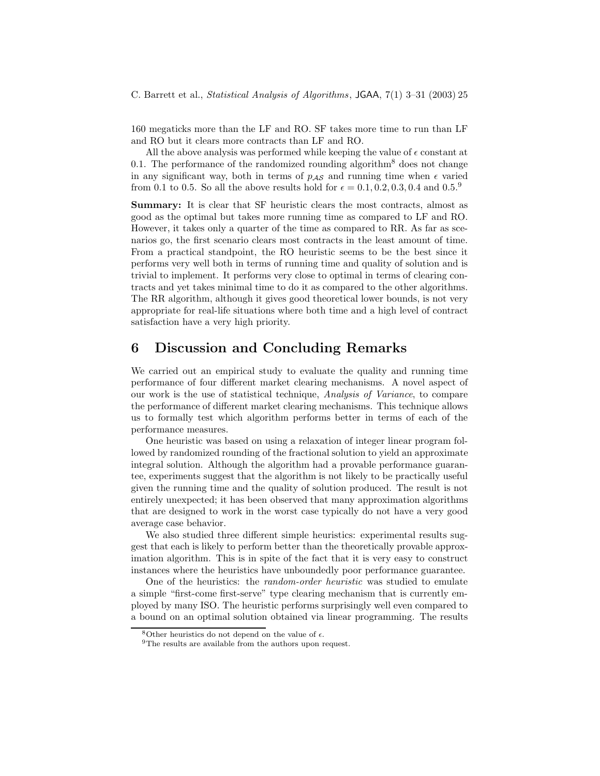160 megaticks more than the LF and RO. SF takes more time to run than LF and RO but it clears more contracts than LF and RO.

All the above analysis was performed while keeping the value of  $\epsilon$  constant at 0.1. The performance of the randomized rounding algorithm<sup>8</sup> does not change in any significant way, both in terms of  $p_{\mathcal{A}S}$  and running time when  $\epsilon$  varied from 0.1 to 0.5. So all the above results hold for  $\epsilon = 0.1, 0.2, 0.3, 0.4$  and 0.5.<sup>9</sup>

**Summary:** It is clear that SF heuristic clears the most contracts, almost as good as the optimal but takes more running time as compared to LF and RO. However, it takes only a quarter of the time as compared to RR. As far as scenarios go, the first scenario clears most contracts in the least amount of time. From a practical standpoint, the RO heuristic seems to be the best since it performs very well both in terms of running time and quality of solution and is trivial to implement. It performs very close to optimal in terms of clearing contracts and yet takes minimal time to do it as compared to the other algorithms. The RR algorithm, although it gives good theoretical lower bounds, is not very appropriate for real-life situations where both time and a high level of contract satisfaction have a very high priority.

## **6 Discussion and Concluding Remarks**

We carried out an empirical study to evaluate the quality and running time performance of four different market clearing mechanisms. A novel aspect of our work is the use of statistical technique, *Analysis of Variance*, to compare the performance of different market clearing mechanisms. This technique allows us to formally test which algorithm performs better in terms of each of the performance measures.

One heuristic was based on using a relaxation of integer linear program followed by randomized rounding of the fractional solution to yield an approximate integral solution. Although the algorithm had a provable performance guarantee, experiments suggest that the algorithm is not likely to be practically useful given the running time and the quality of solution produced. The result is not entirely unexpected; it has been observed that many approximation algorithms that are designed to work in the worst case typically do not have a very good average case behavior.

We also studied three different simple heuristics: experimental results suggest that each is likely to perform better than the theoretically provable approximation algorithm. This is in spite of the fact that it is very easy to construct instances where the heuristics have unboundedly poor performance guarantee.

One of the heuristics: the *random-order heuristic* was studied to emulate a simple "first-come first-serve" type clearing mechanism that is currently employed by many ISO. The heuristic performs surprisingly well even compared to a bound on an optimal solution obtained via linear programming. The results

<sup>&</sup>lt;sup>8</sup>Other heuristics do not depend on the value of  $\epsilon$ .

<sup>&</sup>lt;sup>9</sup>The results are available from the authors upon request.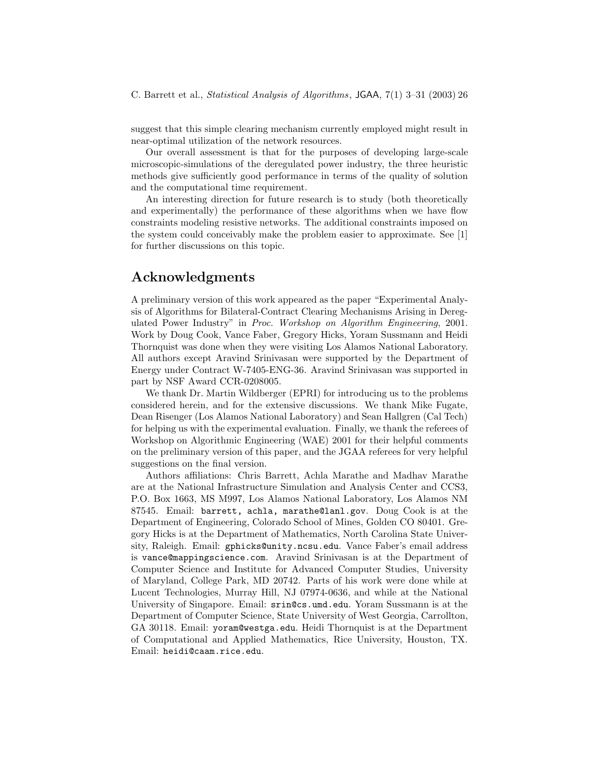suggest that this simple clearing mechanism currently employed might result in near-optimal utilization of the network resources.

Our overall assessment is that for the purposes of developing large-scale microscopic-simulations of the deregulated power industry, the three heuristic methods give sufficiently good performance in terms of the quality of solution and the computational time requirement.

An interesting direction for future research is to study (both theoretically and experimentally) the performance of these algorithms when we have flow constraints modeling resistive networks. The additional constraints imposed on the system could conceivably make the problem easier to approximate. See [1] for further discussions on this topic.

## **Acknowledgments**

A preliminary version of this work appeared as the paper "Experimental Analysis of Algorithms for Bilateral-Contract Clearing Mechanisms Arising in Deregulated Power Industry" in *Proc. Workshop on Algorithm Engineering*, 2001. Work by Doug Cook, Vance Faber, Gregory Hicks, Yoram Sussmann and Heidi Thornquist was done when they were visiting Los Alamos National Laboratory. All authors except Aravind Srinivasan were supported by the Department of Energy under Contract W-7405-ENG-36. Aravind Srinivasan was supported in part by NSF Award CCR-0208005.

We thank Dr. Martin Wildberger (EPRI) for introducing us to the problems considered herein, and for the extensive discussions. We thank Mike Fugate, Dean Risenger (Los Alamos National Laboratory) and Sean Hallgren (Cal Tech) for helping us with the experimental evaluation. Finally, we thank the referees of Workshop on Algorithmic Engineering (WAE) 2001 for their helpful comments on the preliminary version of this paper, and the JGAA referees for very helpful suggestions on the final version.

Authors affiliations: Chris Barrett, Achla Marathe and Madhav Marathe are at the National Infrastructure Simulation and Analysis Center and CCS3, P.O. Box 1663, MS M997, Los Alamos National Laboratory, Los Alamos NM 87545. Email: barrett, achla, marathe@lanl.gov. Doug Cook is at the Department of Engineering, Colorado School of Mines, Golden CO 80401. Gregory Hicks is at the Department of Mathematics, North Carolina State University, Raleigh. Email: gphicks@unity.ncsu.edu. Vance Faber's email address is vance@mappingscience.com. Aravind Srinivasan is at the Department of Computer Science and Institute for Advanced Computer Studies, University of Maryland, College Park, MD 20742. Parts of his work were done while at Lucent Technologies, Murray Hill, NJ 07974-0636, and while at the National University of Singapore. Email: srin@cs.umd.edu. Yoram Sussmann is at the Department of Computer Science, State University of West Georgia, Carrollton, GA 30118. Email: yoram@westga.edu. Heidi Thornquist is at the Department of Computational and Applied Mathematics, Rice University, Houston, TX. Email: heidi@caam.rice.edu.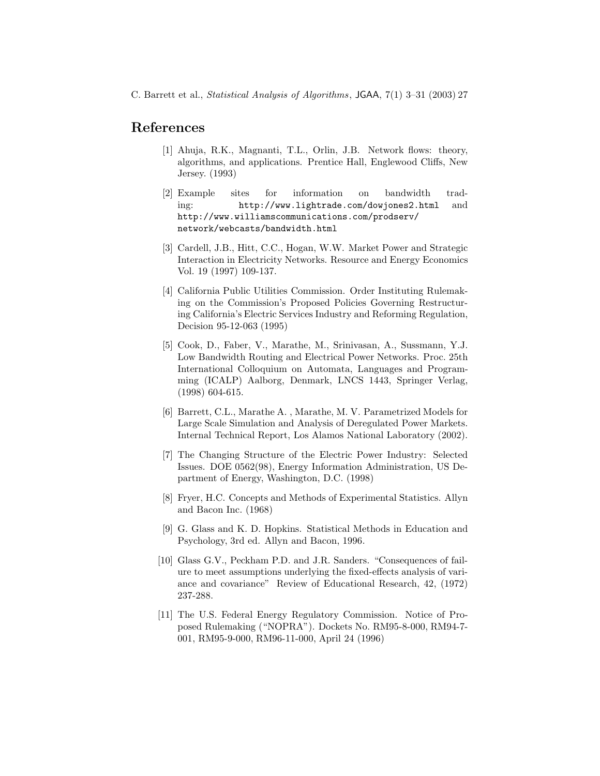## **References**

- [1] Ahuja, R.K., Magnanti, T.L., Orlin, J.B. Network flows: theory, algorithms, and applications. Prentice Hall, Englewood Cliffs, New Jersey. (1993)
- [2] Example sites for information on bandwidth trading: http://www.lightrade.com/dowjones2.html and http://www.williamscommunications.com/prodserv/ network/webcasts/bandwidth.html
- [3] Cardell, J.B., Hitt, C.C., Hogan, W.W. Market Power and Strategic Interaction in Electricity Networks. Resource and Energy Economics Vol. 19 (1997) 109-137.
- [4] California Public Utilities Commission. Order Instituting Rulemaking on the Commission's Proposed Policies Governing Restructuring California's Electric Services Industry and Reforming Regulation, Decision 95-12-063 (1995)
- [5] Cook, D., Faber, V., Marathe, M., Srinivasan, A., Sussmann, Y.J. Low Bandwidth Routing and Electrical Power Networks. Proc. 25th International Colloquium on Automata, Languages and Programming (ICALP) Aalborg, Denmark, LNCS 1443, Springer Verlag, (1998) 604-615.
- [6] Barrett, C.L., Marathe A. , Marathe, M. V. Parametrized Models for Large Scale Simulation and Analysis of Deregulated Power Markets. Internal Technical Report, Los Alamos National Laboratory (2002).
- [7] The Changing Structure of the Electric Power Industry: Selected Issues. DOE 0562(98), Energy Information Administration, US Department of Energy, Washington, D.C. (1998)
- [8] Fryer, H.C. Concepts and Methods of Experimental Statistics. Allyn and Bacon Inc. (1968)
- [9] G. Glass and K. D. Hopkins. Statistical Methods in Education and Psychology, 3rd ed. Allyn and Bacon, 1996.
- [10] Glass G.V., Peckham P.D. and J.R. Sanders. "Consequences of failure to meet assumptions underlying the fixed-effects analysis of variance and covariance" Review of Educational Research, 42, (1972) 237-288.
- [11] The U.S. Federal Energy Regulatory Commission. Notice of Proposed Rulemaking ("NOPRA"). Dockets No. RM95-8-000, RM94-7- 001, RM95-9-000, RM96-11-000, April 24 (1996)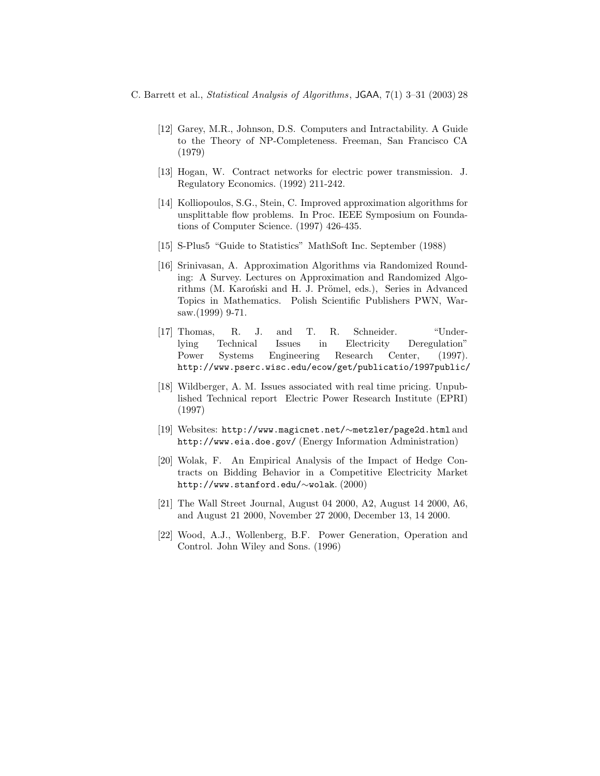- [12] Garey, M.R., Johnson, D.S. Computers and Intractability. A Guide to the Theory of NP-Completeness. Freeman, San Francisco CA (1979)
- [13] Hogan, W. Contract networks for electric power transmission. J. Regulatory Economics. (1992) 211-242.
- [14] Kolliopoulos, S.G., Stein, C. Improved approximation algorithms for unsplittable flow problems. In Proc. IEEE Symposium on Foundations of Computer Science. (1997) 426-435.
- [15] S-Plus5 "Guide to Statistics" MathSoft Inc. September (1988)
- [16] Srinivasan, A. Approximation Algorithms via Randomized Rounding: A Survey. Lectures on Approximation and Randomized Algorithms (M. Karoński and H. J. Prömel, eds.), Series in Advanced Topics in Mathematics. Polish Scientific Publishers PWN, Warsaw.(1999) 9-71.
- [17] Thomas, R. J. and T. R. Schneider. "Underlying Technical Issues in Electricity Deregulation" Power Systems Engineering Research Center, (1997). http://www.pserc.wisc.edu/ecow/get/publicatio/1997public/
- [18] Wildberger, A. M. Issues associated with real time pricing. Unpublished Technical report Electric Power Research Institute (EPRI) (1997)
- [19] Websites: http://www.magicnet.net/∼metzler/page2d.html and http://www.eia.doe.gov/ (Energy Information Administration)
- [20] Wolak, F. An Empirical Analysis of the Impact of Hedge Contracts on Bidding Behavior in a Competitive Electricity Market http://www.stanford.edu/∼wolak. (2000)
- [21] The Wall Street Journal, August 04 2000, A2, August 14 2000, A6, and August 21 2000, November 27 2000, December 13, 14 2000.
- [22] Wood, A.J., Wollenberg, B.F. Power Generation, Operation and Control. John Wiley and Sons. (1996)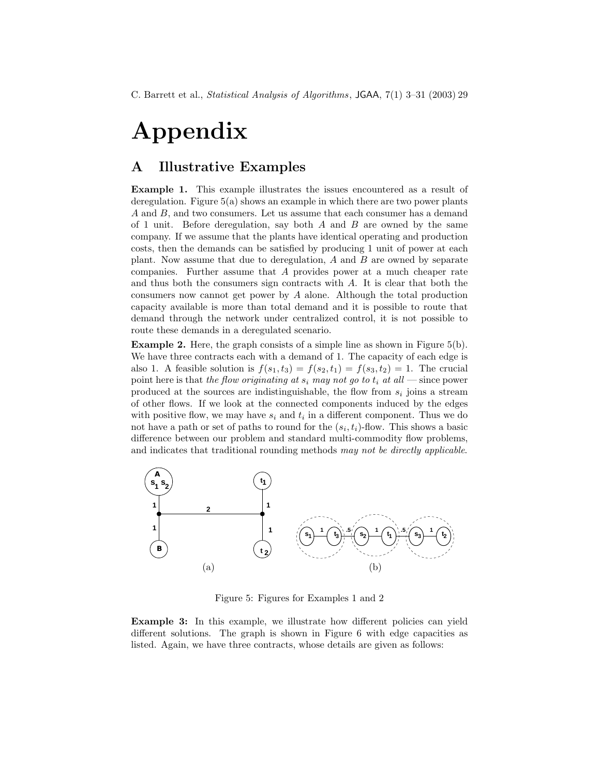# **Appendix**

# **A Illustrative Examples**

**Example 1.** This example illustrates the issues encountered as a result of deregulation. Figure  $5(a)$  shows an example in which there are two power plants A and B, and two consumers. Let us assume that each consumer has a demand of 1 unit. Before deregulation, say both  $A$  and  $B$  are owned by the same company. If we assume that the plants have identical operating and production costs, then the demands can be satisfied by producing 1 unit of power at each plant. Now assume that due to deregulation,  $\tilde{A}$  and  $\tilde{B}$  are owned by separate companies. Further assume that A provides power at a much cheaper rate and thus both the consumers sign contracts with  $A$ . It is clear that both the consumers now cannot get power by A alone. Although the total production capacity available is more than total demand and it is possible to route that demand through the network under centralized control, it is not possible to route these demands in a deregulated scenario.

**Example 2.** Here, the graph consists of a simple line as shown in Figure 5(b). We have three contracts each with a demand of 1. The capacity of each edge is also 1. A feasible solution is  $f(s_1, t_3) = f(s_2, t_1) = f(s_3, t_2) = 1$ . The crucial point here is that *the flow originating at*  $s_i$  *may not go to*  $t_i$  *at all* — since power produced at the sources are indistinguishable, the flow from  $s_i$  joins a stream of other flows. If we look at the connected components induced by the edges with positive flow, we may have  $s_i$  and  $t_i$  in a different component. Thus we do not have a path or set of paths to round for the  $(s_i, t_i)$ -flow. This shows a basic difference between our problem and standard multi-commodity flow problems, and indicates that traditional rounding methods *may not be directly applicable*.



Figure 5: Figures for Examples 1 and 2

**Example 3:** In this example, we illustrate how different policies can yield different solutions. The graph is shown in Figure 6 with edge capacities as listed. Again, we have three contracts, whose details are given as follows: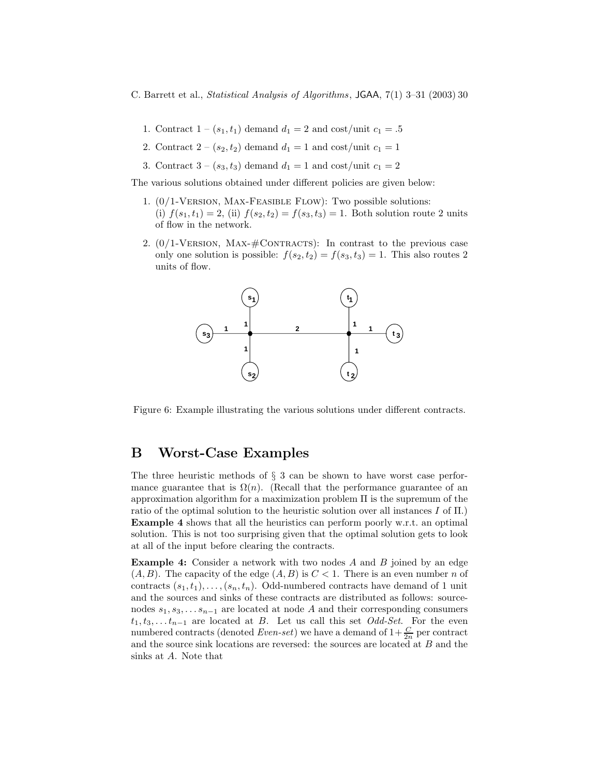- 1. Contract  $1 (s_1, t_1)$  demand  $d_1 = 2$  and cost/unit  $c_1 = .5$
- 2. Contract  $2 (s_2, t_2)$  demand  $d_1 = 1$  and cost/unit  $c_1 = 1$
- 3. Contract  $3 (s_3, t_3)$  demand  $d_1 = 1$  and cost/unit  $c_1 = 2$

The various solutions obtained under different policies are given below:

- 1. (0/1-Version, Max-Feasible Flow): Two possible solutions: (i)  $f(s_1, t_1) = 2$ , (ii)  $f(s_2, t_2) = f(s_3, t_3) = 1$ . Both solution route 2 units of flow in the network.
- 2.  $(0/1\text{-}V$ ERSION, MAX- $\#$ CONTRACTS): In contrast to the previous case only one solution is possible:  $f(s_2, t_2) = f(s_3, t_3) = 1$ . This also routes 2 units of flow.



Figure 6: Example illustrating the various solutions under different contracts.

## **B Worst-Case Examples**

The three heuristic methods of  $\S$  3 can be shown to have worst case performance guarantee that is  $\Omega(n)$ . (Recall that the performance guarantee of an approximation algorithm for a maximization problem  $\Pi$  is the supremum of the ratio of the optimal solution to the heuristic solution over all instances I of Π.) **Example 4** shows that all the heuristics can perform poorly w.r.t. an optimal solution. This is not too surprising given that the optimal solution gets to look at all of the input before clearing the contracts.

**Example 4:** Consider a network with two nodes A and B joined by an edge  $(A, B)$ . The capacity of the edge  $(A, B)$  is  $C < 1$ . There is an even number n of contracts  $(s_1, t_1), \ldots, (s_n, t_n)$ . Odd-numbered contracts have demand of 1 unit and the sources and sinks of these contracts are distributed as follows: sourcenodes  $s_1, s_3, \ldots s_{n-1}$  are located at node A and their corresponding consumers  $t_1, t_3, \ldots t_{n-1}$  are located at B. Let us call this set *Odd-Set*. For the even numbered contracts (denoted *Even-set*) we have a demand of  $1+\frac{C}{2n}$  per contract and the source sink locations are reversed: the sources are located at B and the sinks at A. Note that